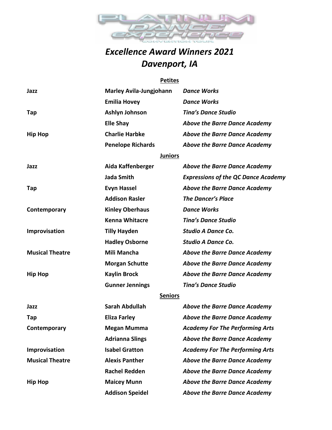

## *Excellence Award Winners 2021 Davenport, IA*

## **Petites**

| Jazz                   | <b>Marley Avila-Jungjohann</b> | <b>Dance Works</b>                         |
|------------------------|--------------------------------|--------------------------------------------|
|                        | <b>Emilia Hovey</b>            | <b>Dance Works</b>                         |
| Tap                    | Ashlyn Johnson                 | <b>Tina's Dance Studio</b>                 |
|                        | <b>Elle Shay</b>               | <b>Above the Barre Dance Academy</b>       |
| <b>Hip Hop</b>         | <b>Charlie Harbke</b>          | <b>Above the Barre Dance Academy</b>       |
|                        | <b>Penelope Richards</b>       | <b>Above the Barre Dance Academy</b>       |
|                        | <b>Juniors</b>                 |                                            |
| Jazz                   | Aida Kaffenberger              | <b>Above the Barre Dance Academy</b>       |
|                        | <b>Jada Smith</b>              | <b>Expressions of the QC Dance Academy</b> |
| Tap                    | <b>Evyn Hassel</b>             | <b>Above the Barre Dance Academy</b>       |
|                        | <b>Addison Rasler</b>          | <b>The Dancer's Place</b>                  |
| Contemporary           | <b>Kinley Oberhaus</b>         | <b>Dance Works</b>                         |
|                        | <b>Kenna Whitacre</b>          | <b>Tina's Dance Studio</b>                 |
| Improvisation          | <b>Tilly Hayden</b>            | <b>Studio A Dance Co.</b>                  |
|                        | <b>Hadley Osborne</b>          | <b>Studio A Dance Co.</b>                  |
| <b>Musical Theatre</b> | Mili Mancha                    | <b>Above the Barre Dance Academy</b>       |
|                        | <b>Morgan Schutte</b>          | <b>Above the Barre Dance Academy</b>       |
| <b>Hip Hop</b>         | <b>Kaylin Brock</b>            | <b>Above the Barre Dance Academy</b>       |
|                        | <b>Gunner Jennings</b>         | <b>Tina's Dance Studio</b>                 |
|                        | <b>Seniors</b>                 |                                            |
| Jazz                   | <b>Sarah Abdullah</b>          | <b>Above the Barre Dance Academy</b>       |
| Tap                    | <b>Eliza Farley</b>            | <b>Above the Barre Dance Academy</b>       |
| Contemporary           | <b>Megan Mumma</b>             | <b>Academy For The Performing Arts</b>     |
|                        | <b>Adrianna Slings</b>         | <b>Above the Barre Dance Academy</b>       |
| Improvisation          | <b>Isabel Gratton</b>          | <b>Academy For The Performing Arts</b>     |
| <b>Musical Theatre</b> | <b>Alexis Panther</b>          | <b>Above the Barre Dance Academy</b>       |
|                        | <b>Rachel Redden</b>           | <b>Above the Barre Dance Academy</b>       |
| <b>Hip Hop</b>         | <b>Maicey Munn</b>             | <b>Above the Barre Dance Academy</b>       |
|                        | <b>Addison Speidel</b>         | <b>Above the Barre Dance Academy</b>       |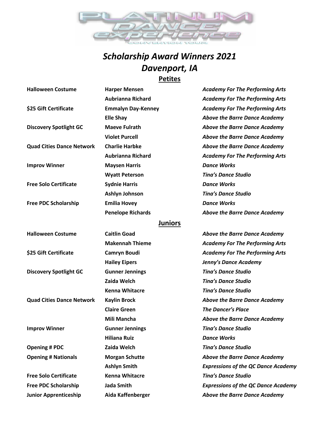

## *Scholarship Award Winners 2021 Davenport, IA* **Petites**

| <b>Halloween Costume</b>         | <b>Harper Mensen</b>      | <b>Academy For The Performing Arts</b>     |
|----------------------------------|---------------------------|--------------------------------------------|
|                                  | <b>Aubrianna Richard</b>  | <b>Academy For The Performing Arts</b>     |
| \$25 Gift Certificate            | <b>Emmalyn Day-Kenney</b> | <b>Academy For The Performing Arts</b>     |
|                                  | <b>Elle Shay</b>          | <b>Above the Barre Dance Academy</b>       |
| <b>Discovery Spotlight GC</b>    | <b>Maeve Fulrath</b>      | <b>Above the Barre Dance Academy</b>       |
|                                  | <b>Violet Purcell</b>     | <b>Above the Barre Dance Academy</b>       |
| <b>Quad Cities Dance Network</b> | <b>Charlie Harbke</b>     | <b>Above the Barre Dance Academy</b>       |
|                                  | <b>Aubrianna Richard</b>  | <b>Academy For The Performing Arts</b>     |
| <b>Improv Winner</b>             | <b>Maysen Harris</b>      | <b>Dance Works</b>                         |
|                                  | <b>Wyatt Peterson</b>     | <b>Tina's Dance Studio</b>                 |
| <b>Free Solo Certificate</b>     | <b>Sydnie Harris</b>      | <b>Dance Works</b>                         |
|                                  | Ashlyn Johnson            | <b>Tina's Dance Studio</b>                 |
| <b>Free PDC Scholarship</b>      | <b>Emilia Hovey</b>       | <b>Dance Works</b>                         |
|                                  | <b>Penelope Richards</b>  | <b>Above the Barre Dance Academy</b>       |
|                                  | <b>Juniors</b>            |                                            |
| <b>Halloween Costume</b>         | <b>Caitlin Goad</b>       | <b>Above the Barre Dance Academy</b>       |
|                                  | <b>Makennah Thieme</b>    | <b>Academy For The Performing Arts</b>     |
| \$25 Gift Certificate            | Camryn Boudi              | <b>Academy For The Performing Arts</b>     |
|                                  | <b>Hailey Eipers</b>      | Jenny's Dance Academy                      |
| <b>Discovery Spotlight GC</b>    | <b>Gunner Jennings</b>    | <b>Tina's Dance Studio</b>                 |
|                                  | Zaida Welch               | <b>Tina's Dance Studio</b>                 |
|                                  | <b>Kenna Whitacre</b>     | <b>Tina's Dance Studio</b>                 |
| <b>Quad Cities Dance Network</b> | <b>Kaylin Brock</b>       | <b>Above the Barre Dance Academy</b>       |
|                                  | <b>Claire Green</b>       | <b>The Dancer's Place</b>                  |
|                                  | Mili Mancha               | <b>Above the Barre Dance Academy</b>       |
| <b>Improv Winner</b>             | <b>Gunner Jennings</b>    | <b>Tina's Dance Studio</b>                 |
|                                  | <b>Hiliana Ruiz</b>       | <b>Dance Works</b>                         |
| <b>Opening # PDC</b>             | Zaida Welch               | <b>Tina's Dance Studio</b>                 |
| <b>Opening # Nationals</b>       | <b>Morgan Schutte</b>     | <b>Above the Barre Dance Academy</b>       |
|                                  | <b>Ashlyn Smith</b>       | <b>Expressions of the QC Dance Academy</b> |
| <b>Free Solo Certificate</b>     | <b>Kenna Whitacre</b>     | <b>Tina's Dance Studio</b>                 |
| <b>Free PDC Scholarship</b>      | <b>Jada Smith</b>         | <b>Expressions of the QC Dance Academy</b> |
| <b>Junior Apprenticeship</b>     | Aida Kaffenberger         | <b>Above the Barre Dance Academy</b>       |